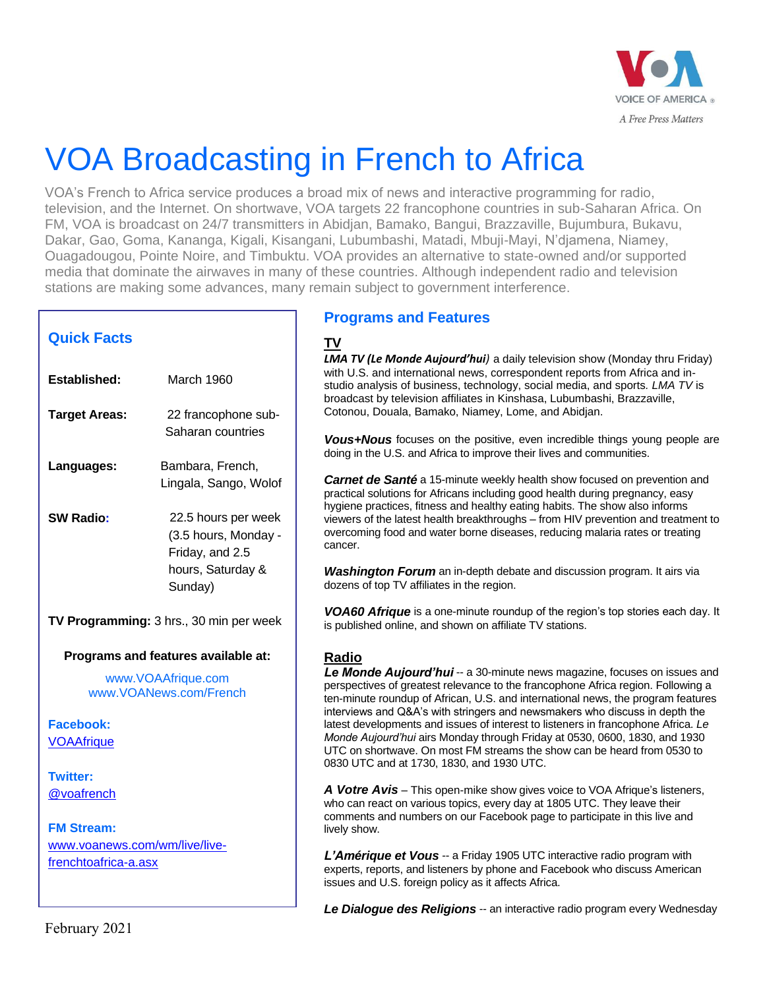

## VOA Broadcasting in French to Africa

VOA's French to Africa service produces a broad mix of news and interactive programming for radio, television, and the Internet. On shortwave, VOA targets 22 francophone countries in sub-Saharan Africa. On FM, VOA is broadcast on 24/7 transmitters in Abidjan, Bamako, Bangui, Brazzaville, Bujumbura, Bukavu, Dakar, Gao, Goma, Kananga, Kigali, Kisangani, Lubumbashi, Matadi, Mbuji-Mayi, N'djamena, Niamey, Ouagadougou, Pointe Noire, and Timbuktu. VOA provides an alternative to state-owned and/or supported media that dominate the airwaves in many of these countries. Although independent radio and television stations are making some advances, many remain subject to government interference.

| <b>Quick Facts</b>                           |                                         | ΤV<br>LMA TV (Le                                           |
|----------------------------------------------|-----------------------------------------|------------------------------------------------------------|
| <b>Established:</b>                          | March 1960                              | with U.S. an<br>studio analy<br>broadcast by               |
| <b>Target Areas:</b>                         | 22 francophone sub-                     | Cotonou, Do                                                |
|                                              | Saharan countries                       | Vous+Nou<br>doing in the                                   |
| Languages:                                   | Bambara, French,                        |                                                            |
|                                              | Lingala, Sango, Wolof                   | <i>Carnet de</i><br>practical solu<br>hygiene prad         |
| <b>SW Radio:</b>                             | 22.5 hours per week                     | viewers of th                                              |
|                                              | (3.5 hours, Monday -<br>Friday, and 2.5 | overcoming<br>cancer.                                      |
|                                              | hours, Saturday &<br>Sunday)            | Washingto<br>dozens of to                                  |
| TV Programming: 3 hrs., 30 min per week      |                                         | <b>VOA60 Afr</b><br>is published                           |
|                                              | Programs and features available at:     | Radio                                                      |
| www.VOAAfrique.com<br>www.VOANews.com/French |                                         | Le Monde<br>perspectives<br>ten-minute ro<br>interviews ar |
| <b>Facebook:</b>                             |                                         | latest develo                                              |
| <b>VOAAfrique</b>                            |                                         | Monde Aujor<br>UTC on shor<br>0830 UTC a                   |
| <b>Twitter:</b>                              |                                         |                                                            |
| @voafrench                                   |                                         | A Votre Av<br>who can rea<br>comments a                    |
| <b>FM Stream:</b>                            |                                         | lively show.                                               |
| www.voanews.com/wm/live/live-                |                                         | L'Amériqu                                                  |
| frenchtoafrica-a.asx                         |                                         | experts, repo<br>issues and L                              |

## **Programs and Features**

*Monde Aujourd'hui*) a daily television show (Monday thru Friday) d international news, correspondent reports from Africa and insis of business, technology, social media, and sports. LMA TV is y television affiliates in Kinshasa, Lubumbashi, Brazzaville, vuala, Bamako, Niamey, Lome, and Abidjan.

**Is** focuses on the positive, even incredible things young people are U.S. and Africa to improve their lives and communities.

Santé a 15-minute weekly health show focused on prevention and tions for Africans including good health during pregnancy, easy tices, fitness and healthy eating habits. The show also informs ie latest health breakthroughs – from HIV prevention and treatment to food and water borne diseases, reducing malaria rates or treating

*M Forum* an in-depth debate and discussion program. It airs via p TV affiliates in the region.

*ique* is a one-minute roundup of the region's top stories each day. It online, and shown on affiliate TV stations.

Aujourd'hui -- a 30-minute news magazine, focuses on issues and of greatest relevance to the francophone Africa region. Following a bundup of African, U.S. and international news, the program features nd Q&A's with stringers and newsmakers who discuss in depth the latest pments and issues of interest to listeners in francophone Africa. Le *Monde Aujourd'hui* airs Monday through Friday at 0530, 0600, 1830, and 1930 rtwave. On most FM streams the show can be heard from 0530 to nd at 1730, 1830, and 1930 UTC.

**ris** – This open-mike show gives voice to VOA Afrique's listeners, ct on various topics, every day at 1805 UTC. They leave their nd numbers on our Facebook page to participate in this live and

**Pe et Vous** -- a Friday 1905 UTC interactive radio program with orts, and listeners by phone and Facebook who discuss American J.S. foreign policy as it affects Africa.

**Le Dialoque des Religions** -- an interactive radio program every Wednesday